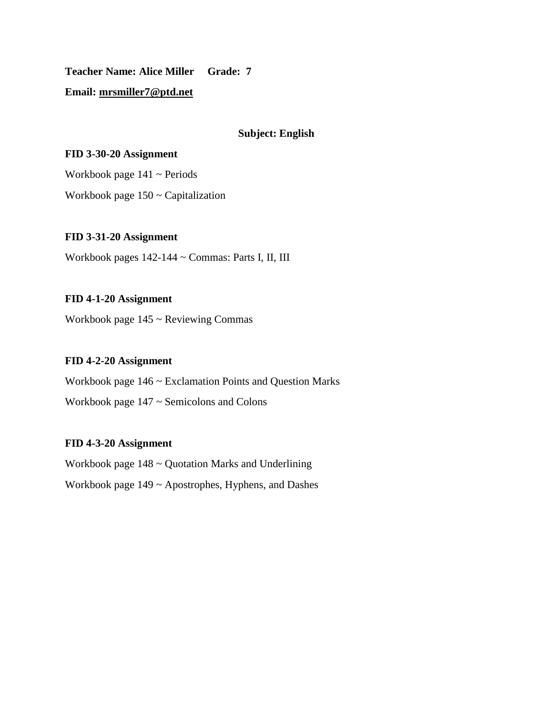**Teacher Name: Alice Miller Grade: 7**

# **Email: [mrsmiller7@ptd.net](mailto:mrsmiller7@ptd.net)**

### **Subject: English**

### **FID 3-30-20 Assignment**

Workbook page  $141 \sim$  Periods

Workbook page 150 ~ Capitalization

# **FID 3-31-20 Assignment**

Workbook pages 142-144 ~ Commas: Parts I, II, III

### **FID 4-1-20 Assignment**

Workbook page 145 ~ Reviewing Commas

### **FID 4-2-20 Assignment**

Workbook page 146 ~ Exclamation Points and Question Marks Workbook page 147 ~ Semicolons and Colons

#### **FID 4-3-20 Assignment**

Workbook page 148 ~ Quotation Marks and Underlining Workbook page 149 ~ Apostrophes, Hyphens, and Dashes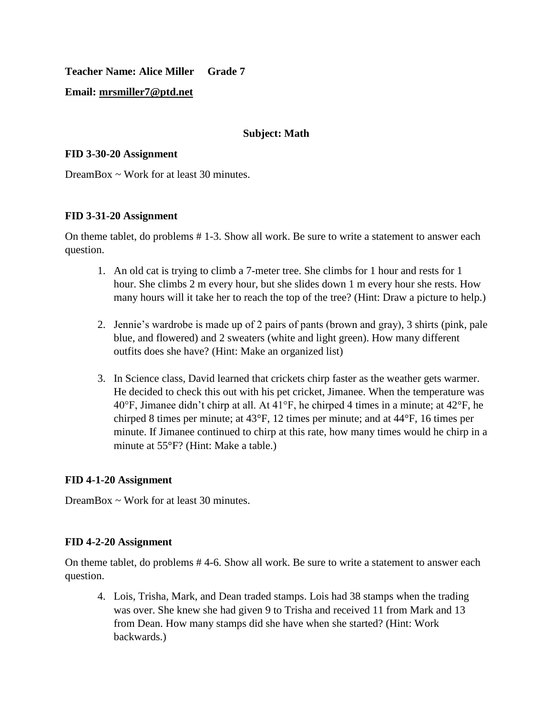**Teacher Name: Alice Miller Grade 7**

## **Email: [mrsmiller7@ptd.net](mailto:mrsmiller7@ptd.net)**

### **Subject: Math**

### **FID 3-30-20 Assignment**

DreamBox  $\sim$  Work for at least 30 minutes.

### **FID 3-31-20 Assignment**

On theme tablet, do problems # 1-3. Show all work. Be sure to write a statement to answer each question.

- 1. An old cat is trying to climb a 7-meter tree. She climbs for 1 hour and rests for 1 hour. She climbs 2 m every hour, but she slides down 1 m every hour she rests. How many hours will it take her to reach the top of the tree? (Hint: Draw a picture to help.)
- 2. Jennie's wardrobe is made up of 2 pairs of pants (brown and gray), 3 shirts (pink, pale blue, and flowered) and 2 sweaters (white and light green). How many different outfits does she have? (Hint: Make an organized list)
- 3. In Science class, David learned that crickets chirp faster as the weather gets warmer. He decided to check this out with his pet cricket, Jimanee. When the temperature was 40°F, Jimanee didn't chirp at all. At 41°F, he chirped 4 times in a minute; at 42°F, he chirped 8 times per minute; at 43°F, 12 times per minute; and at 44°F, 16 times per minute. If Jimanee continued to chirp at this rate, how many times would he chirp in a minute at 55°F? (Hint: Make a table.)

# **FID 4-1-20 Assignment**

DreamBox ~ Work for at least 30 minutes.

#### **FID 4-2-20 Assignment**

On theme tablet, do problems # 4-6. Show all work. Be sure to write a statement to answer each question.

4. Lois, Trisha, Mark, and Dean traded stamps. Lois had 38 stamps when the trading was over. She knew she had given 9 to Trisha and received 11 from Mark and 13 from Dean. How many stamps did she have when she started? (Hint: Work backwards.)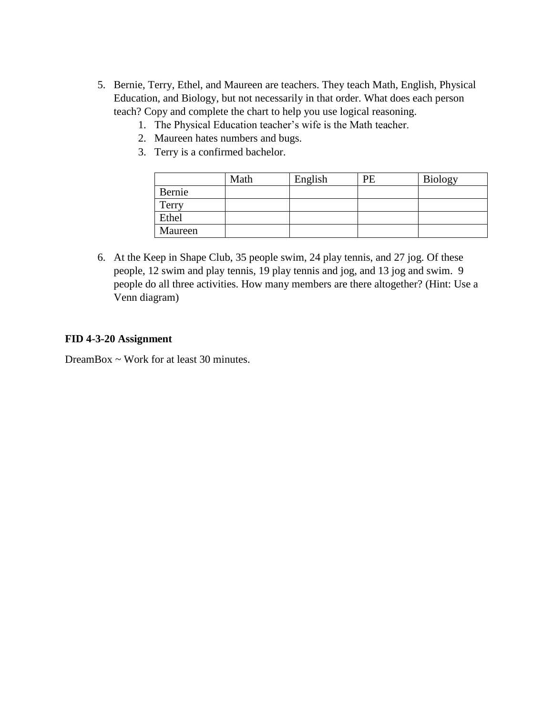- 5. Bernie, Terry, Ethel, and Maureen are teachers. They teach Math, English, Physical Education, and Biology, but not necessarily in that order. What does each person teach? Copy and complete the chart to help you use logical reasoning.
	- 1. The Physical Education teacher's wife is the Math teacher.
	- 2. Maureen hates numbers and bugs.
	- 3. Terry is a confirmed bachelor.

|         | Math | English | PE | <b>Biology</b> |
|---------|------|---------|----|----------------|
| Bernie  |      |         |    |                |
| Terry   |      |         |    |                |
| Ethel   |      |         |    |                |
| Maureen |      |         |    |                |

6. At the Keep in Shape Club, 35 people swim, 24 play tennis, and 27 jog. Of these people, 12 swim and play tennis, 19 play tennis and jog, and 13 jog and swim. 9 people do all three activities. How many members are there altogether? (Hint: Use a Venn diagram)

#### **FID 4-3-20 Assignment**

DreamBox  $\sim$  Work for at least 30 minutes.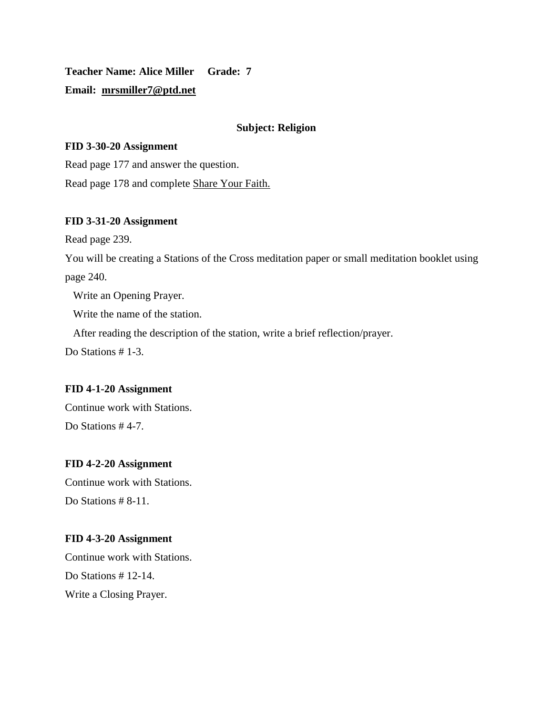**Teacher Name: Alice Miller Grade: 7 Email: [mrsmiller7@ptd.net](mailto:mrsmiller7@ptd.net)**

### **Subject: Religion**

#### **FID 3-30-20 Assignment**

Read page 177 and answer the question. Read page 178 and complete Share Your Faith.

# **FID 3-31-20 Assignment**

Read page 239.

You will be creating a Stations of the Cross meditation paper or small meditation booklet using page 240.

Write an Opening Prayer.

Write the name of the station.

After reading the description of the station, write a brief reflection/prayer.

Do Stations #1-3.

#### **FID 4-1-20 Assignment**

Continue work with Stations. Do Stations #4-7.

#### **FID 4-2-20 Assignment**

Continue work with Stations. Do Stations # 8-11.

#### **FID 4-3-20 Assignment**

Continue work with Stations. Do Stations # 12-14. Write a Closing Prayer.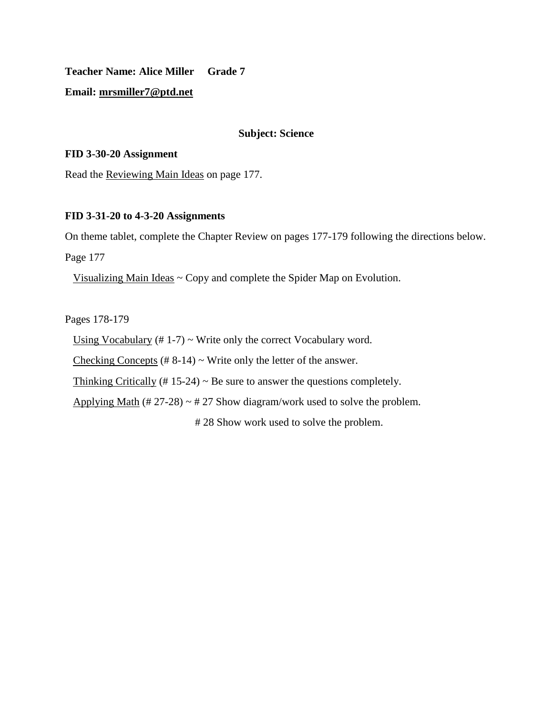**Teacher Name: Alice Miller Grade 7**

**Email: [mrsmiller7@ptd.net](mailto:mrsmiller7@ptd.net)**

#### **Subject: Science**

#### **FID 3-30-20 Assignment**

Read the Reviewing Main Ideas on page 177.

#### **FID 3-31-20 to 4-3-20 Assignments**

On theme tablet, complete the Chapter Review on pages 177-179 following the directions below.

Page 177

Visualizing Main Ideas ~ Copy and complete the Spider Map on Evolution.

Pages 178-179

Using Vocabulary  $(\# 1-7)$   $\sim$  Write only the correct Vocabulary word.

Checking Concepts  $(\# 8-14)$  ~ Write only the letter of the answer.

Thinking Critically (# 15-24)  $\sim$  Be sure to answer the questions completely.

Applying Math  $(\text{\# } 27{\text{-}}28) \sim \text{\# } 27$  Show diagram/work used to solve the problem.

# 28 Show work used to solve the problem.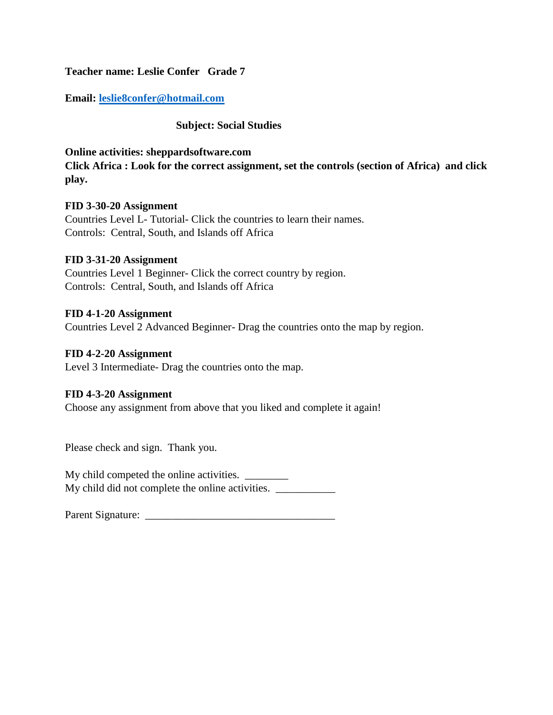**Teacher name: Leslie Confer Grade 7**

**Email: [leslie8confer@hotmail.com](mailto:leslie8confer@hotmail.com)**

# **Subject: Social Studies**

### **Online activities: sheppardsoftware.com**

**Click Africa : Look for the correct assignment, set the controls (section of Africa) and click play.**

### **FID 3-30-20 Assignment**

Countries Level L- Tutorial- Click the countries to learn their names. Controls: Central, South, and Islands off Africa

### **FID 3-31-20 Assignment**

Countries Level 1 Beginner- Click the correct country by region. Controls: Central, South, and Islands off Africa

### **FID 4-1-20 Assignment**

Countries Level 2 Advanced Beginner- Drag the countries onto the map by region.

## **FID 4-2-20 Assignment**

Level 3 Intermediate- Drag the countries onto the map.

# **FID 4-3-20 Assignment**

Choose any assignment from above that you liked and complete it again!

Please check and sign. Thank you.

My child competed the online activities. \_\_\_\_\_\_\_ My child did not complete the online activities.

Parent Signature: \_\_\_\_\_\_\_\_\_\_\_\_\_\_\_\_\_\_\_\_\_\_\_\_\_\_\_\_\_\_\_\_\_\_\_